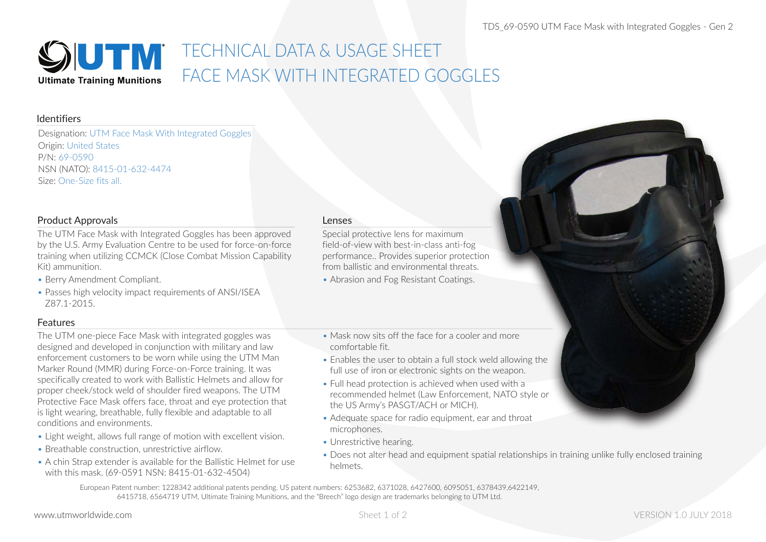

# TECHNICAL DATA & USAGE SHEET FACE MASK WITH INTEGRATED GOGGLES

#### Identifiers

Designation: UTM Face Mask With Integrated Goggles Origin: United States P/N: 69-0590 NSN (NATO): 8415-01-632-4474 Size: One-Size fits all.

## Product Approvals

The UTM Face Mask with Integrated Goggles has been approved by the U.S. Army Evaluation Centre to be used for force-on-force training when utilizing CCMCK (Close Combat Mission Capability Kit) ammunition.

- Berry Amendment Compliant.
- Passes high velocity impact requirements of ANSI/ISEA Z87.1-2015.

## Features

The UTM one-piece Face Mask with integrated goggles was designed and developed in conjunction with military and law enforcement customers to be worn while using the UTM Man Marker Round (MMR) during Force-on-Force training. It was specifically created to work with Ballistic Helmets and allow for proper cheek/stock weld of shoulder fired weapons. The UTM Protective Face Mask offers face, throat and eye protection that is light wearing, breathable, fully flexible and adaptable to all conditions and environments.

- Light weight, allows full range of motion with excellent vision.
- Breathable construction, unrestrictive airflow.
- A chin Strap extender is available for the Ballistic Helmet for use with this mask. (69-0591 NSN: 8415-01-632-4504)

#### Lenses

Special protective lens for maximum field-of-view with best-in-class anti-fog performance.. Provides superior protection from ballistic and environmental threats.

- Abrasion and Fog Resistant Coatings.
- Mask now sits off the face for a cooler and more comfortable fit.
- Enables the user to obtain a full stock weld allowing the full use of iron or electronic sights on the weapon.
- Full head protection is achieved when used with a recommended helmet (Law Enforcement, NATO style or the US Army's PASGT/ACH or MICH).
- Adequate space for radio equipment, ear and throat microphones.
- Unrestrictive hearing.
- Does not alter head and equipment spatial relationships in training unlike fully enclosed training helmets.

European Patent number: 1228342 additional patents pending. US patent numbers: 6253682, 6371028, 6427600, 6095051, 6378439,6422149, 6415718, 6564719 UTM, Ultimate Training Munitions, and the "Breech" logo design are trademarks belonging to UTM Ltd.